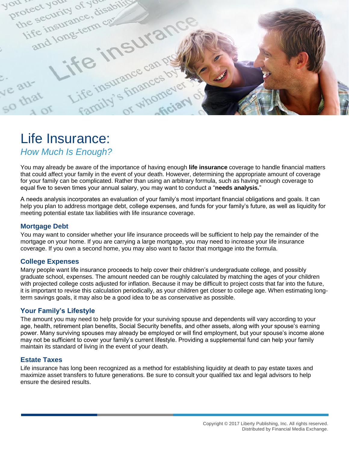

# Life Insurance:

*How Much Is Enough?*

You may already be aware of the importance of having enough **life insurance** coverage to handle financial matters that could affect your family in the event of your death. However, determining the appropriate amount of coverage for your family can be complicated. Rather than using an arbitrary formula, such as having enough coverage to equal five to seven times your annual salary, you may want to conduct a "**needs analysis.**"

A needs analysis incorporates an evaluation of your family's most important financial obligations and goals. It can help you plan to address mortgage debt, college expenses, and funds for your family's future, as well as liquidity for meeting potential estate tax liabilities with life insurance coverage.

#### **Mortgage Debt**

You may want to consider whether your life insurance proceeds will be sufficient to help pay the remainder of the mortgage on your home. If you are carrying a large mortgage, you may need to increase your life insurance coverage. If you own a second home, you may also want to factor that mortgage into the formula.

## **College Expenses**

Many people want life insurance proceeds to help cover their children's undergraduate college, and possibly graduate school, expenses. The amount needed can be roughly calculated by matching the ages of your children with projected college costs adjusted for inflation. Because it may be difficult to project costs that far into the future, it is important to revise this calculation periodically, as your children get closer to college age. When estimating longterm savings goals, it may also be a good idea to be as conservative as possible.

#### **Your Family's Lifestyle**

The amount you may need to help provide for your surviving spouse and dependents will vary according to your age, health, retirement plan benefits, Social Security benefits, and other assets, along with your spouse's earning power. Many surviving spouses may already be employed or will find employment, but your spouse's income alone may not be sufficient to cover your family's current lifestyle. Providing a supplemental fund can help your family maintain its standard of living in the event of your death.

#### **Estate Taxes**

Life insurance has long been recognized as a method for establishing liquidity at death to pay estate taxes and maximize asset transfers to future generations. Be sure to consult your qualified tax and legal advisors to help ensure the desired results.